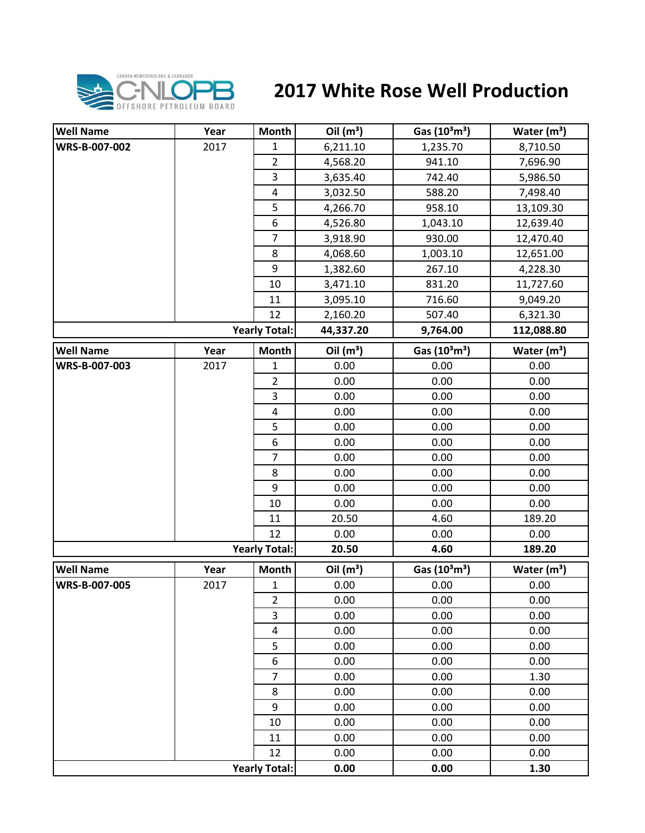

## **2017 White Rose Well Production**

| <b>Well Name</b> | Year | <b>Month</b>            | Oil $(m^3)$ | Gas (10 <sup>3</sup> m <sup>3</sup> ) | Water $(m^3)$ |
|------------------|------|-------------------------|-------------|---------------------------------------|---------------|
| WRS-B-007-002    | 2017 | $\mathbf{1}$            | 6,211.10    | 1,235.70                              | 8,710.50      |
|                  |      | $\overline{2}$          | 4,568.20    | 941.10                                | 7,696.90      |
|                  |      | $\overline{\mathbf{3}}$ | 3,635.40    | 742.40                                | 5,986.50      |
|                  |      | $\pmb{4}$               | 3,032.50    | 588.20                                | 7,498.40      |
|                  |      | 5                       | 4,266.70    | 958.10                                | 13,109.30     |
|                  |      | 6                       | 4,526.80    | 1,043.10                              | 12,639.40     |
|                  |      | $\overline{7}$          | 3,918.90    | 930.00                                | 12,470.40     |
|                  |      | 8                       | 4,068.60    | 1,003.10                              | 12,651.00     |
|                  |      | 9                       | 1,382.60    | 267.10                                | 4,228.30      |
|                  |      | 10                      | 3,471.10    | 831.20                                | 11,727.60     |
|                  |      | 11                      | 3,095.10    | 716.60                                | 9,049.20      |
|                  |      | 12                      | 2,160.20    | 507.40                                | 6,321.30      |
|                  |      | <b>Yearly Total:</b>    | 44,337.20   | 9,764.00                              | 112,088.80    |
| <b>Well Name</b> | Year | <b>Month</b>            | Oil $(m^3)$ | Gas $(10^3 \text{m}^3)$               | Water $(m3)$  |
| WRS-B-007-003    | 2017 | $\mathbf{1}$            | 0.00        | 0.00                                  | 0.00          |
|                  |      | $\overline{2}$          | 0.00        | 0.00                                  | 0.00          |
|                  |      | 3                       | 0.00        | 0.00                                  | 0.00          |
|                  |      | 4                       | 0.00        | 0.00                                  | 0.00          |
|                  |      | 5                       | 0.00        | 0.00                                  | 0.00          |
|                  |      | 6                       | 0.00        | 0.00                                  | 0.00          |
|                  |      | $\overline{7}$          | 0.00        | 0.00                                  | 0.00          |
|                  |      | 8                       | 0.00        | 0.00                                  | 0.00          |
|                  |      | 9                       | 0.00        | 0.00                                  | 0.00          |
|                  |      | 10                      | 0.00        | 0.00                                  | 0.00          |
|                  |      | 11                      | 20.50       | 4.60                                  | 189.20        |
|                  |      | 12                      | 0.00        | 0.00                                  | 0.00          |
|                  |      | <b>Yearly Total:</b>    | 20.50       | 4.60                                  | 189.20        |
| <b>Well Name</b> | Year | <b>Month</b>            | Oil $(m^3)$ | Gas (10 <sup>3</sup> m <sup>3</sup> ) | Water $(m3)$  |
| WRS-B-007-005    | 2017 | $\mathbf{1}$            | 0.00        | 0.00                                  | 0.00          |
|                  |      | $\overline{2}$          | 0.00        | 0.00                                  | 0.00          |
|                  |      | 3                       | 0.00        | 0.00                                  | 0.00          |
|                  |      | $\overline{\mathbf{4}}$ | 0.00        | 0.00                                  | 0.00          |
|                  |      | 5                       | 0.00        | 0.00                                  | 0.00          |
|                  |      | 6                       | 0.00        | 0.00                                  | 0.00          |
|                  |      | $\overline{7}$          | 0.00        | 0.00                                  | 1.30          |
|                  |      | 8                       | 0.00        | 0.00                                  | 0.00          |
|                  |      | 9                       | 0.00        | 0.00                                  | 0.00          |
|                  |      | 10                      | 0.00        | 0.00                                  | 0.00          |
|                  |      | 11                      | 0.00        | 0.00                                  | 0.00          |
|                  |      | 12                      | 0.00        | 0.00                                  | 0.00          |
|                  |      | <b>Yearly Total:</b>    | 0.00        | 0.00                                  | 1.30          |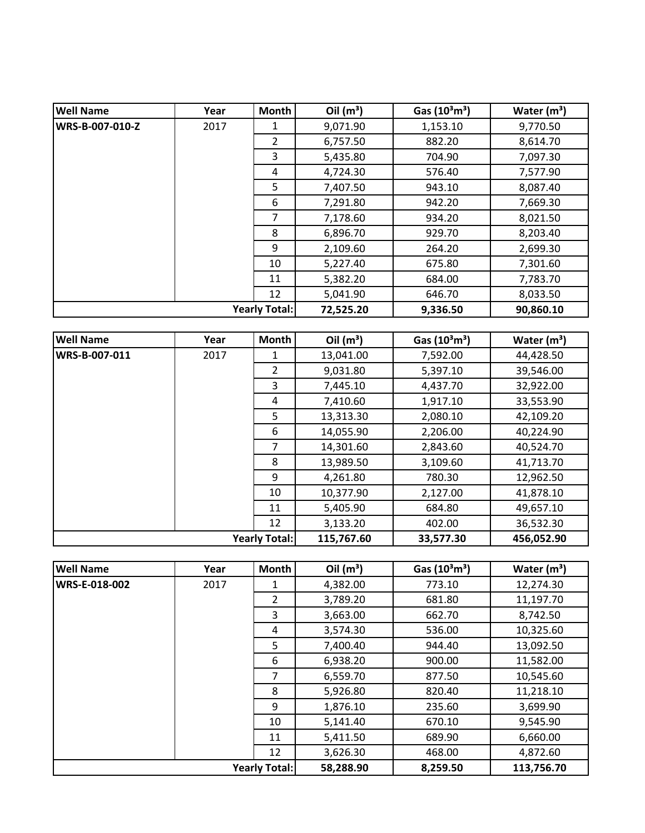| <b>Well Name</b>     | Year | <b>Month</b>   | Oil $(m^3)$ | Gas $(10^3 \text{m}^3)$ | Water $(m^3)$ |
|----------------------|------|----------------|-------------|-------------------------|---------------|
| WRS-B-007-010-Z      | 2017 | 1              | 9,071.90    | 1,153.10                | 9,770.50      |
|                      |      | $\overline{2}$ | 6,757.50    | 882.20                  | 8,614.70      |
|                      |      | 3              | 5,435.80    | 704.90                  | 7,097.30      |
|                      |      | 4              | 4,724.30    | 576.40                  | 7,577.90      |
|                      |      | 5              | 7,407.50    | 943.10                  | 8,087.40      |
|                      |      | 6              | 7,291.80    | 942.20                  | 7,669.30      |
|                      |      | 7              | 7,178.60    | 934.20                  | 8,021.50      |
|                      |      | 8              | 6,896.70    | 929.70                  | 8,203.40      |
|                      |      | 9              | 2,109.60    | 264.20                  | 2,699.30      |
|                      |      | 10             | 5,227.40    | 675.80                  | 7,301.60      |
|                      |      | 11             | 5,382.20    | 684.00                  | 7,783.70      |
|                      |      | 12             | 5,041.90    | 646.70                  | 8,033.50      |
| <b>Yearly Total:</b> |      |                | 72,525.20   | 9,336.50                | 90,860.10     |

| <b>Well Name</b> | Year | <b>Month</b>         | Oil $(m^3)$ | Gas $(10^3 \text{m}^3)$ | Water $(m^3)$ |
|------------------|------|----------------------|-------------|-------------------------|---------------|
| WRS-B-007-011    | 2017 | 1                    | 13,041.00   | 7,592.00                | 44,428.50     |
|                  |      | $\overline{2}$       | 9,031.80    | 5,397.10                | 39,546.00     |
|                  |      | 3                    | 7,445.10    | 4,437.70                | 32,922.00     |
|                  |      | 4                    | 7,410.60    | 1,917.10                | 33,553.90     |
|                  |      | 5                    | 13,313.30   | 2,080.10                | 42,109.20     |
|                  |      | 6                    | 14,055.90   | 2,206.00                | 40,224.90     |
|                  |      | 7                    | 14,301.60   | 2,843.60                | 40,524.70     |
|                  |      | 8                    | 13,989.50   | 3,109.60                | 41,713.70     |
|                  |      | 9                    | 4,261.80    | 780.30                  | 12,962.50     |
|                  |      | 10                   | 10,377.90   | 2,127.00                | 41,878.10     |
|                  |      | 11                   | 5,405.90    | 684.80                  | 49,657.10     |
|                  |      | 12                   | 3,133.20    | 402.00                  | 36,532.30     |
|                  |      | <b>Yearly Total:</b> | 115,767.60  | 33,577.30               | 456,052.90    |

| <b>Well Name</b>     | Year | <b>Month</b>   | Oil $(m^3)$ | Gas $(10^3 \text{m}^3)$ | Water $(m^3)$ |
|----------------------|------|----------------|-------------|-------------------------|---------------|
| WRS-E-018-002        | 2017 | 1              | 4,382.00    | 773.10                  | 12,274.30     |
|                      |      | $\overline{2}$ | 3,789.20    | 681.80                  | 11,197.70     |
|                      |      | 3              | 3,663.00    | 662.70                  | 8,742.50      |
|                      |      | 4              | 3,574.30    | 536.00                  | 10,325.60     |
|                      |      | 5              | 7,400.40    | 944.40                  | 13,092.50     |
|                      |      | 6              | 6,938.20    | 900.00                  | 11,582.00     |
|                      |      | 7              | 6,559.70    | 877.50                  | 10,545.60     |
|                      |      | 8              | 5,926.80    | 820.40                  | 11,218.10     |
|                      |      | 9              | 1,876.10    | 235.60                  | 3,699.90      |
|                      |      | 10             | 5,141.40    | 670.10                  | 9,545.90      |
|                      |      | 11             | 5,411.50    | 689.90                  | 6,660.00      |
|                      |      | 12             | 3,626.30    | 468.00                  | 4,872.60      |
| <b>Yearly Total:</b> |      |                | 58,288.90   | 8,259.50                | 113,756.70    |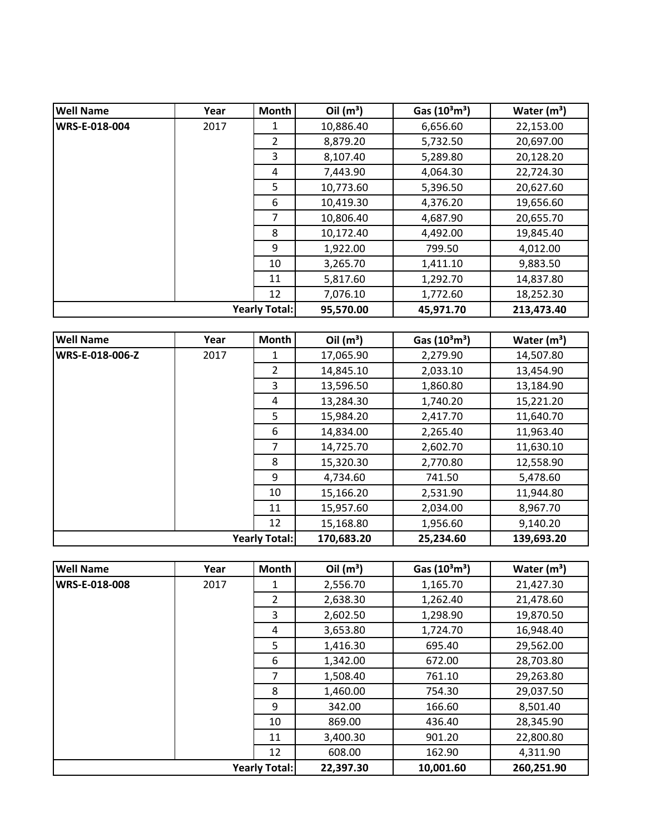| <b>Well Name</b>     | Year | Month          | Oil $(m^3)$ | Gas $(10^3 \text{m}^3)$ | Water $(m^3)$ |
|----------------------|------|----------------|-------------|-------------------------|---------------|
| WRS-E-018-004        | 2017 | 1              | 10,886.40   | 6,656.60                | 22,153.00     |
|                      |      | $\overline{2}$ | 8,879.20    | 5,732.50                | 20,697.00     |
|                      |      | 3              | 8,107.40    | 5,289.80                | 20,128.20     |
|                      |      | 4              | 7,443.90    | 4,064.30                | 22,724.30     |
|                      |      | 5              | 10,773.60   | 5,396.50                | 20,627.60     |
|                      |      | 6              | 10,419.30   | 4,376.20                | 19,656.60     |
|                      |      | 7              | 10,806.40   | 4,687.90                | 20,655.70     |
|                      |      | 8              | 10,172.40   | 4,492.00                | 19,845.40     |
|                      |      | 9              | 1,922.00    | 799.50                  | 4,012.00      |
|                      |      | 10             | 3,265.70    | 1,411.10                | 9,883.50      |
|                      |      | 11             | 5,817.60    | 1,292.70                | 14,837.80     |
|                      |      | 12             | 7,076.10    | 1,772.60                | 18,252.30     |
| <b>Yearly Total:</b> |      |                | 95,570.00   | 45,971.70               | 213,473.40    |

| <b>Well Name</b>       | Year | <b>Month</b>         | Oil $(m^3)$ | Gas $(10^3 \text{m}^3)$ | Water $(m^3)$ |
|------------------------|------|----------------------|-------------|-------------------------|---------------|
| <b>WRS-E-018-006-Z</b> | 2017 | 1                    | 17,065.90   | 2,279.90                | 14,507.80     |
|                        |      | $\overline{2}$       | 14,845.10   | 2,033.10                | 13,454.90     |
|                        |      | 3                    | 13,596.50   | 1,860.80                | 13,184.90     |
|                        |      | 4                    | 13,284.30   | 1,740.20                | 15,221.20     |
|                        |      | 5                    | 15,984.20   | 2,417.70                | 11,640.70     |
|                        |      | 6                    | 14,834.00   | 2,265.40                | 11,963.40     |
|                        |      | 7                    | 14,725.70   | 2,602.70                | 11,630.10     |
|                        |      | 8                    | 15,320.30   | 2,770.80                | 12,558.90     |
|                        |      | 9                    | 4,734.60    | 741.50                  | 5,478.60      |
|                        |      | 10                   | 15,166.20   | 2,531.90                | 11,944.80     |
|                        |      | 11                   | 15,957.60   | 2,034.00                | 8,967.70      |
|                        |      | 12                   | 15,168.80   | 1,956.60                | 9,140.20      |
|                        |      | <b>Yearly Total:</b> | 170,683.20  | 25,234.60               | 139,693.20    |

| <b>Well Name</b>     | Year | <b>Month</b>         | Oil $(m^3)$ | Gas $(10^3 \text{m}^3)$ | Water $(m^3)$ |
|----------------------|------|----------------------|-------------|-------------------------|---------------|
| <b>WRS-E-018-008</b> | 2017 | 1                    | 2,556.70    | 1,165.70                | 21,427.30     |
|                      |      | $\overline{2}$       | 2,638.30    | 1,262.40                | 21,478.60     |
|                      |      | 3                    | 2,602.50    | 1,298.90                | 19,870.50     |
|                      |      | 4                    | 3,653.80    | 1,724.70                | 16,948.40     |
|                      |      | 5                    | 1,416.30    | 695.40                  | 29,562.00     |
|                      |      | 6                    | 1,342.00    | 672.00                  | 28,703.80     |
|                      |      | 7                    | 1,508.40    | 761.10                  | 29,263.80     |
|                      |      | 8                    | 1,460.00    | 754.30                  | 29,037.50     |
|                      |      | 9                    | 342.00      | 166.60                  | 8,501.40      |
|                      |      | 10                   | 869.00      | 436.40                  | 28,345.90     |
|                      |      | 11                   | 3,400.30    | 901.20                  | 22,800.80     |
|                      |      | 12                   | 608.00      | 162.90                  | 4,311.90      |
|                      |      | <b>Yearly Total:</b> | 22,397.30   | 10,001.60               | 260,251.90    |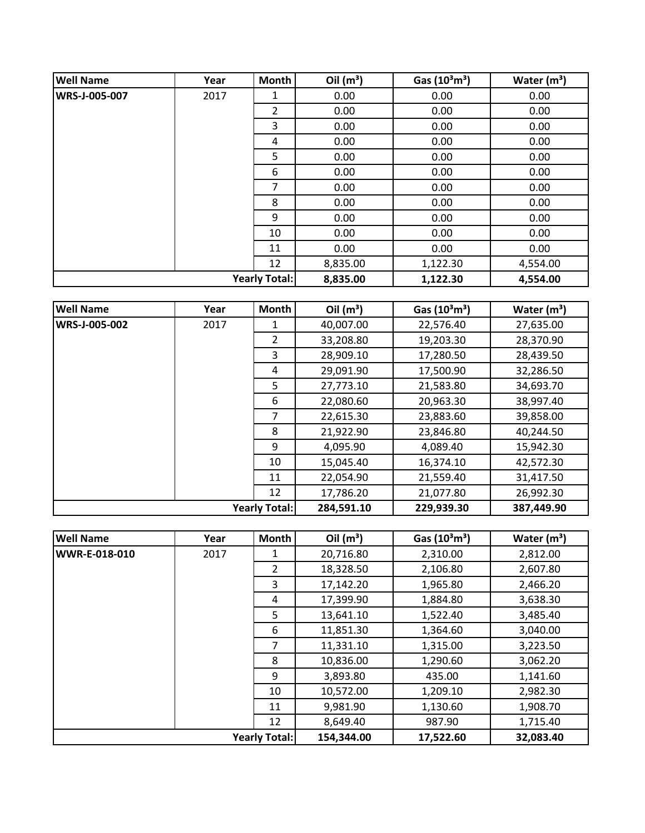| <b>Well Name</b> | Year | <b>Month</b>         | Oil $(m^3)$ | Gas $(10^3 \text{m}^3)$ | Water $(m^3)$ |
|------------------|------|----------------------|-------------|-------------------------|---------------|
| WRS-J-005-007    | 2017 | 1                    | 0.00        | 0.00                    | 0.00          |
|                  |      | 2                    | 0.00        | 0.00                    | 0.00          |
|                  |      | 3                    | 0.00        | 0.00                    | 0.00          |
|                  |      | 4                    | 0.00        | 0.00                    | 0.00          |
|                  |      | 5                    | 0.00        | 0.00                    | 0.00          |
|                  |      | 6                    | 0.00        | 0.00                    | 0.00          |
|                  |      | 7                    | 0.00        | 0.00                    | 0.00          |
|                  |      | 8                    | 0.00        | 0.00                    | 0.00          |
|                  |      | 9                    | 0.00        | 0.00                    | 0.00          |
|                  |      | 10                   | 0.00        | 0.00                    | 0.00          |
|                  |      | 11                   | 0.00        | 0.00                    | 0.00          |
|                  |      | 12                   | 8,835.00    | 1,122.30                | 4,554.00      |
|                  |      | <b>Yearly Total:</b> | 8,835.00    | 1,122.30                | 4,554.00      |

| <b>Well Name</b> | Year | Month                | Oil $(m^3)$ | Gas $(10^3 \text{m}^3)$ | Water $(m^3)$ |
|------------------|------|----------------------|-------------|-------------------------|---------------|
| WRS-J-005-002    | 2017 | 1                    | 40,007.00   | 22,576.40               | 27,635.00     |
|                  |      | $\overline{2}$       | 33,208.80   | 19,203.30               | 28,370.90     |
|                  |      | 3                    | 28,909.10   | 17,280.50               | 28,439.50     |
|                  |      | 4                    | 29,091.90   | 17,500.90               | 32,286.50     |
|                  |      | 5                    | 27,773.10   | 21,583.80               | 34,693.70     |
|                  |      | 6                    | 22,080.60   | 20,963.30               | 38,997.40     |
|                  |      | 7                    | 22,615.30   | 23,883.60               | 39,858.00     |
|                  |      | 8                    | 21,922.90   | 23,846.80               | 40,244.50     |
|                  |      | 9                    | 4,095.90    | 4,089.40                | 15,942.30     |
|                  |      | 10                   | 15,045.40   | 16,374.10               | 42,572.30     |
|                  |      | 11                   | 22,054.90   | 21,559.40               | 31,417.50     |
|                  |      | 12                   | 17,786.20   | 21,077.80               | 26,992.30     |
|                  |      | <b>Yearly Total:</b> | 284,591.10  | 229,939.30              | 387,449.90    |

| <b>Well Name</b>     | Year | <b>Month</b>   | Oil $(m^3)$ | Gas $(10^3 \text{m}^3)$ | Water $(m^3)$ |
|----------------------|------|----------------|-------------|-------------------------|---------------|
| WWR-E-018-010        | 2017 |                | 20,716.80   | 2,310.00                | 2,812.00      |
|                      |      | $\overline{2}$ | 18,328.50   | 2,106.80                | 2,607.80      |
|                      |      | 3              | 17,142.20   | 1,965.80                | 2,466.20      |
|                      |      | 4              | 17,399.90   | 1,884.80                | 3,638.30      |
|                      |      | 5              | 13,641.10   | 1,522.40                | 3,485.40      |
|                      |      | 6              | 11,851.30   | 1,364.60                | 3,040.00      |
|                      |      | 7              | 11,331.10   | 1,315.00                | 3,223.50      |
|                      |      | 8              | 10,836.00   | 1,290.60                | 3,062.20      |
|                      |      | 9              | 3,893.80    | 435.00                  | 1,141.60      |
|                      |      | 10             | 10,572.00   | 1,209.10                | 2,982.30      |
|                      |      | 11             | 9,981.90    | 1,130.60                | 1,908.70      |
|                      |      | 12             | 8,649.40    | 987.90                  | 1,715.40      |
| <b>Yearly Total:</b> |      |                | 154,344.00  | 17,522.60               | 32,083.40     |